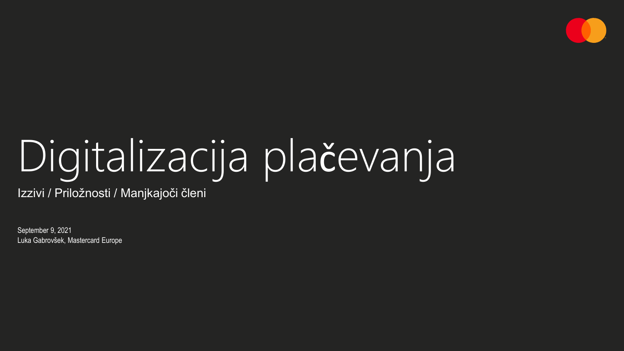

# Digitalizacija plačevanja

Izzivi / Priložnosti / Manjkajoči členi

Luka Gabrovšek, Mastercard Europe September 9, 2021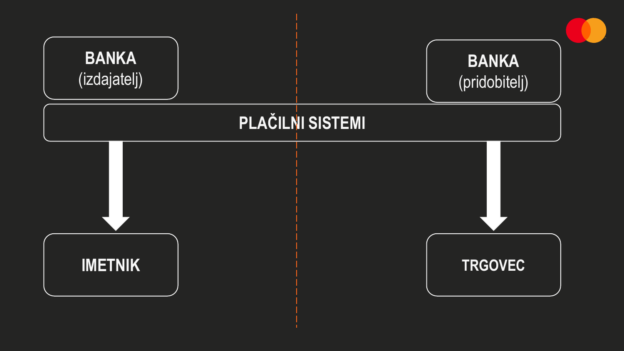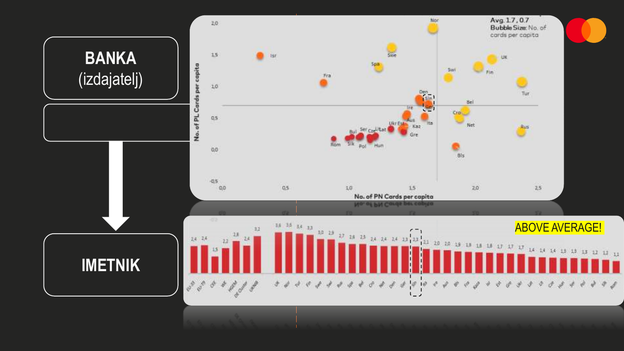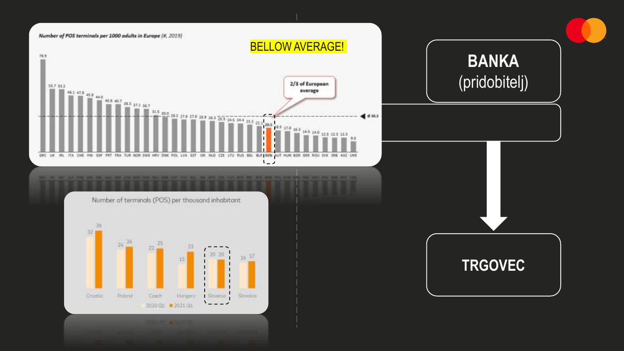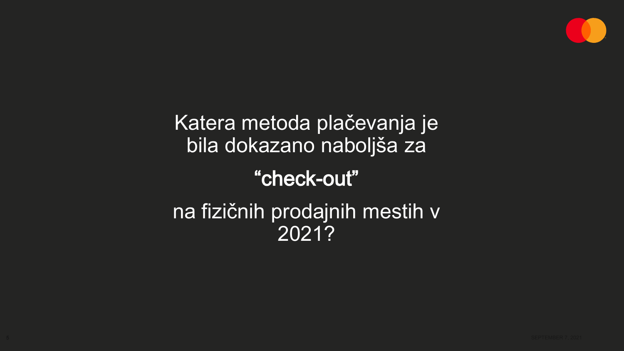

## Katera metoda plačevanja je bila dokazano naboljša za "check-out" na fizičnih prodajnih mestih v 2021?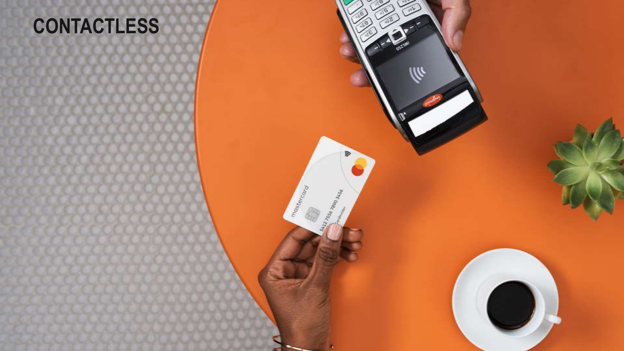## **CONTACTLESS**

6 SEPTEMBER 7, 2021

mastercand

Ŵ

 $3456$ 

1356 1890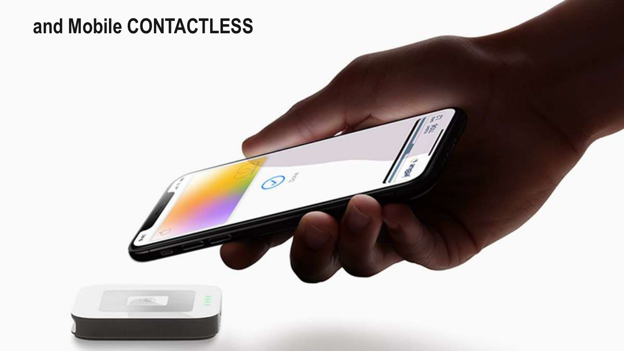### **and Mobile CONTACTLESS**



 $\oslash$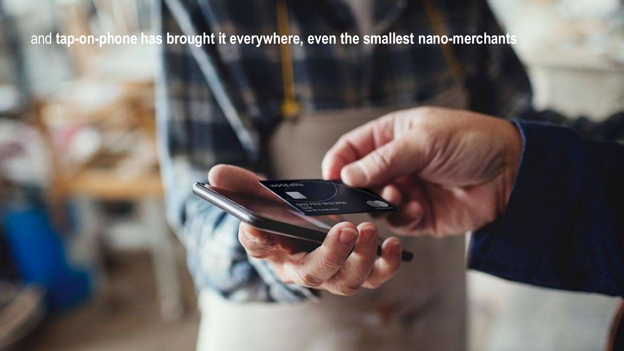#### and **tap-on-phone has brought it everywhere, even the smallest nano-merchants**



8 SEPTEMBER 7, 2021 – 2021 – 2022 – 2022 – 2022 – 2022 – 2022 – 2022 – 2022 – 2022 – 2022 – 2022 – 2022 – 2022

<u>reassures and con-</u> **WOLLENSTEIN**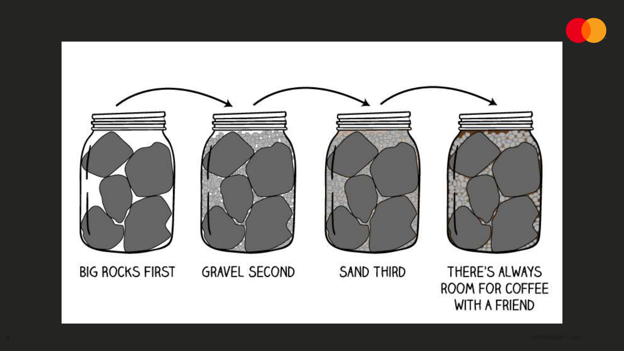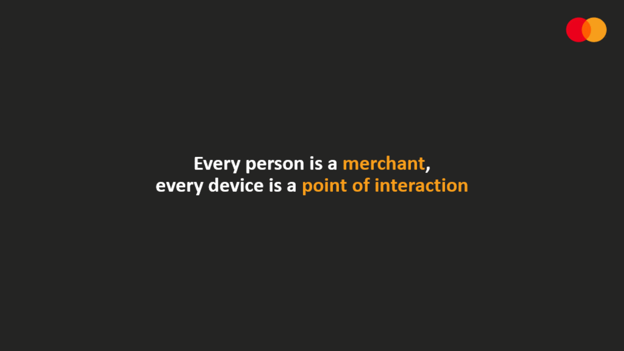

### Every person is a merchant, 99%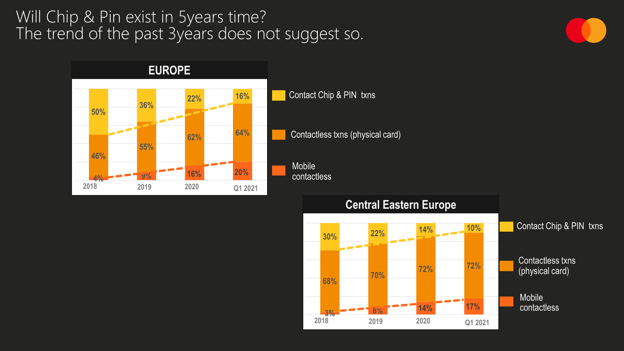#### Will Chip & Pin exist in 5years time? The trend of the past 3years does not suggest so.





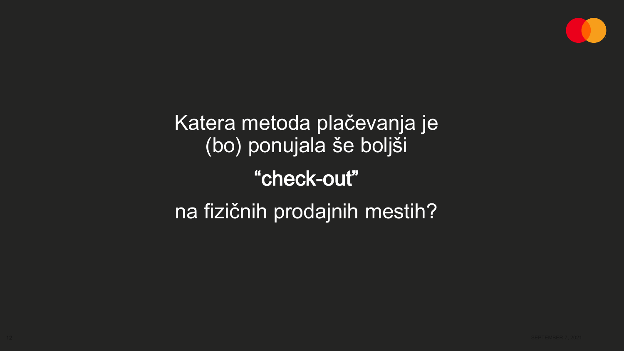

## Katera metoda plačevanja je (bo) ponujala še boljši "check-out" na fizičnih prodajnih mestih?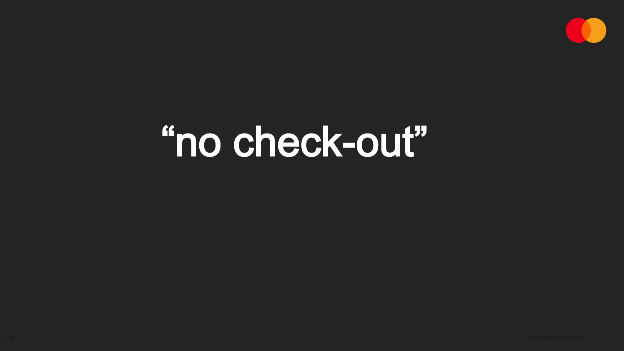

## "no check-out"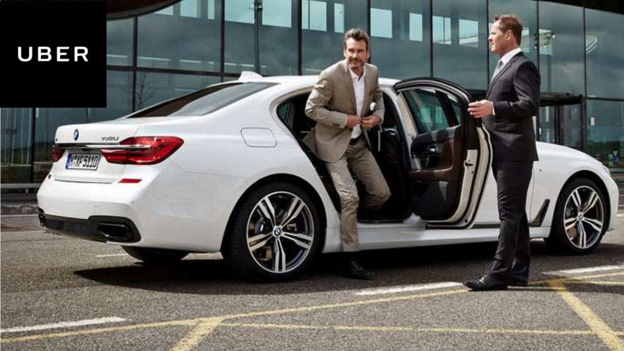## UBER

14 MARCH 23, 2021

©2021 Mastercard. Proprietary and Confidential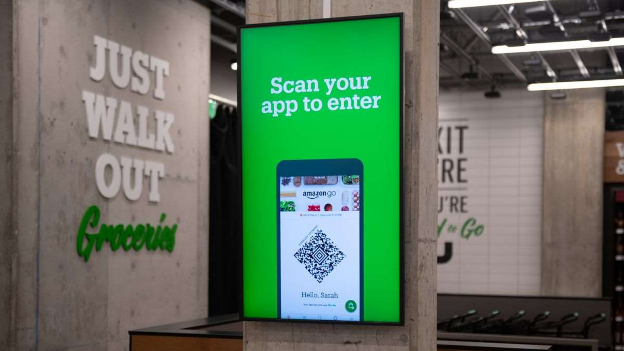

# Scan your<br>app to enter



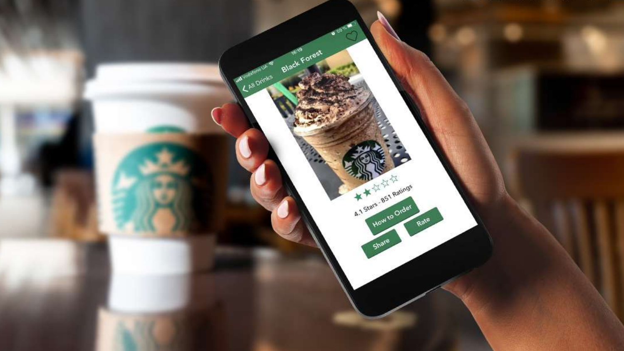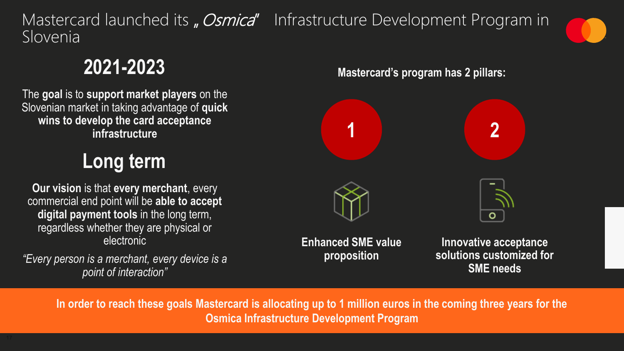Mastercard launched its *" Osmica*" Infrastructure Development Program in Slovenia

### **2021-2023**

The **goal** is to **support market players** on the Slovenian market in taking advantage of **quick wins to develop the card acceptance infrastructure**

#### **Long term**

**Our vision** is that **every merchant**, every commercial end point will be **able to accept digital payment tools** in the long term, regardless whether they are physical or electronic

*"Every person is a merchant, every device is a point of interaction"*

**Mastercard's program has 2 pillars:**



**In order to reach these goals Mastercard is allocating up to 1 million euros in the coming three years for the Osmica Infrastructure Development Program**